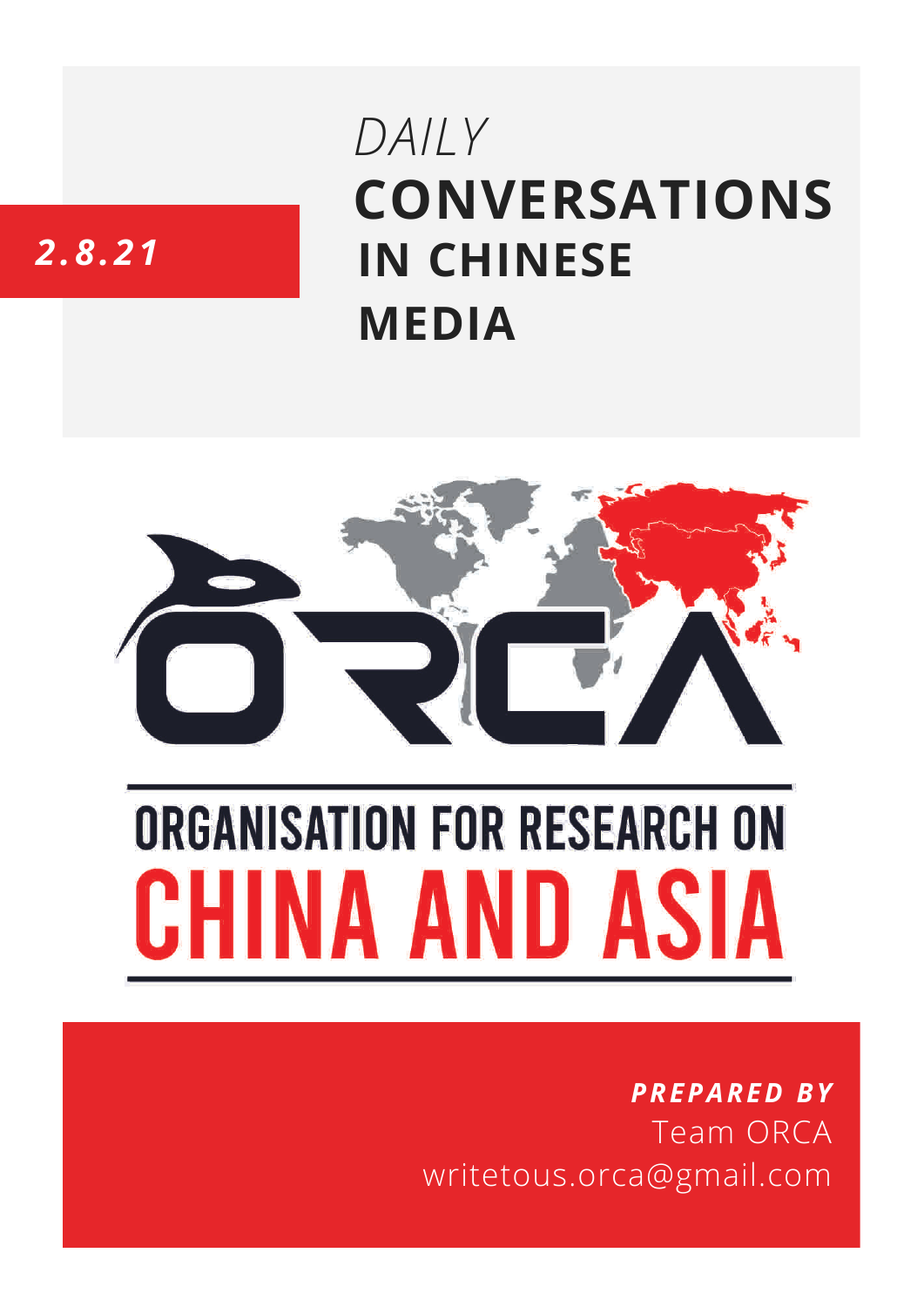# **CONVERSATIONS IN CHINESE MEDIA** *DAILY*

## *2.8.21*



# **ORGANISATION FOR RESEARCH ON** HINA AND ASIA

### *PREPARED BY* Team ORCA writetous.orca@gmail.com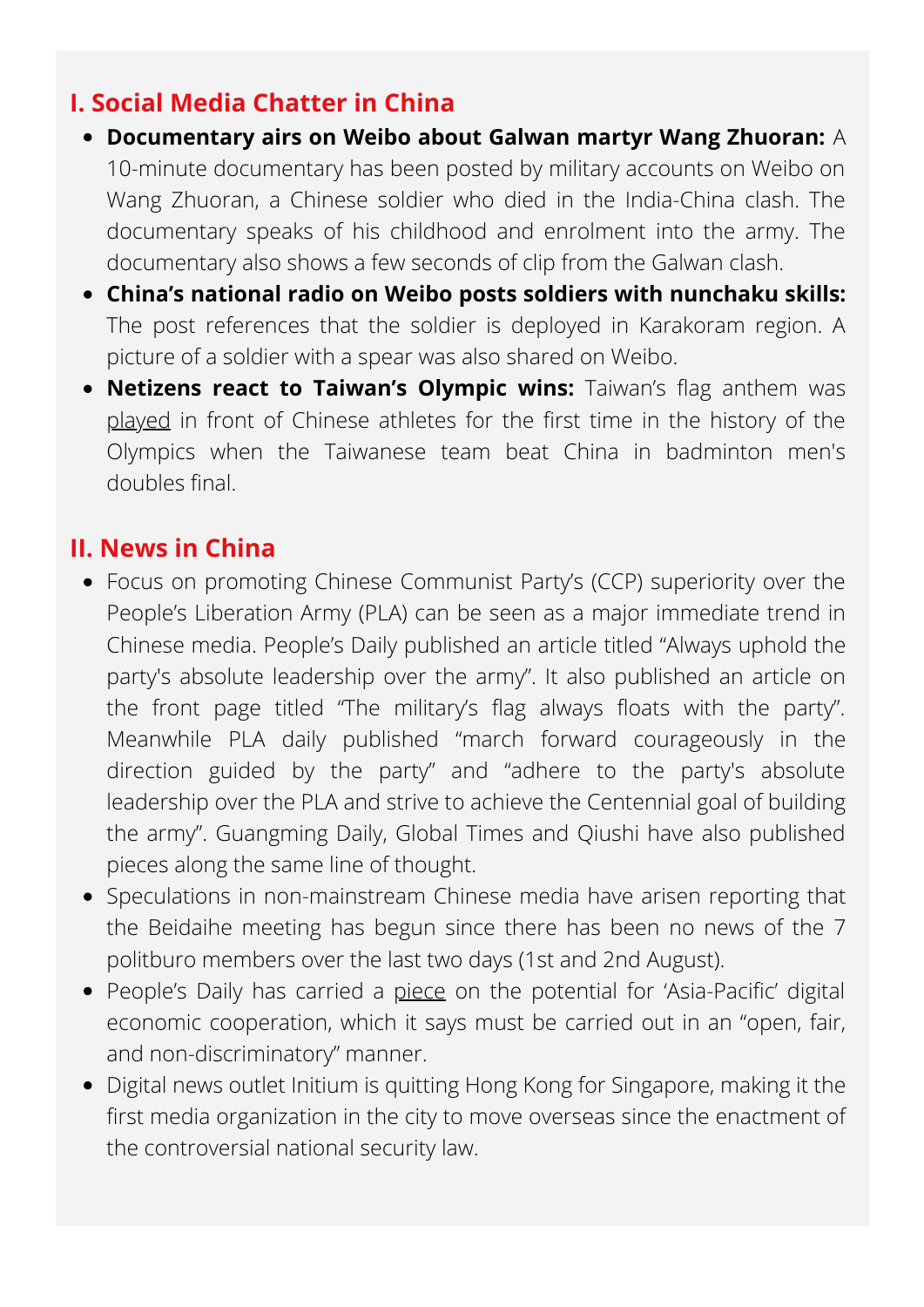#### **I. Social Media Chatter in China**

- **Documentary airs on Weibo about Galwan martyr Wang Zhuoran:** A 10-minute documentary has been posted by military accounts on Weibo on Wang Zhuoran, a Chinese soldier who died in the India-China clash. The documentary speaks of his childhood and enrolment into the army. The documentary also shows a few seconds of clip from the Galwan clash.
- **China's national radio on Weibo posts soldiers with nunchaku skills:** The post references that the soldier is deployed in Karakoram region. A picture of a soldier with a spear was also shared on Weibo.
- **Netizens react to Taiwan's Olympic wins:** Taiwan's flag anthem was [played](https://www.taiwannews.com.tw/en/news/4262639) in front of Chinese athletes for the first time in the history of the Olympics when the Taiwanese team beat China in badminton men's doubles final.

#### **II. News in China**

- Focus on promoting Chinese Communist Party's (CCP) superiority over the People's Liberation Army (PLA) can be seen as a major immediate trend in Chinese media. People's Daily published an article titled "Always uphold the party's absolute leadership over the army". It also published an article on the front page titled "The military's flag always floats with the party". Meanwhile PLA daily published "march forward courageously in the direction guided by the party" and "adhere to the party's absolute leadership over the PLA and strive to achieve the Centennial goal of building the army". Guangming Daily, Global Times and Qiushi have also published pieces along the same line of thought.
- Speculations in non-mainstream Chinese media have arisen reporting that the Beidaihe meeting has begun since there has been no news of the 7 politburo members over the last two days (1st and 2nd August).
- People's Daily has carried a [piece](http://paper.people.com.cn/rmrb/html/2021-08/02/nw.D110000renmrb_20210802_1-06.htm) on the potential for 'Asia-Pacific' digital economic cooperation, which it says must be carried out in an "open, fair, and non-discriminatory" manner.
- Digital news outlet Initium is quitting Hong Kong for Singapore, making it the first media organization in the city to move overseas since the enactment of the controversial national security law.